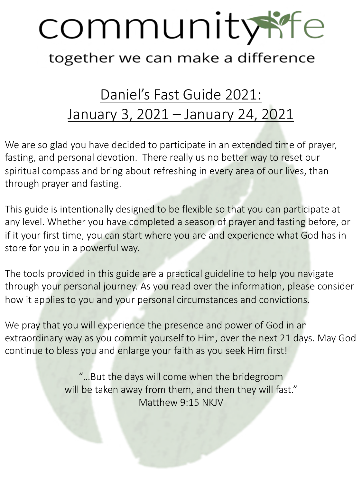# community#fe

# together we can make a difference

# Daniel's Fast Guide 2021: January 3, 2021 – January 24, 2021

We are so glad you have decided to participate in an extended time of prayer, fasting, and personal devotion. There really us no better way to reset our spiritual compass and bring about refreshing in every area of our lives, than through prayer and fasting.

This guide is intentionally designed to be flexible so that you can participate at any level. Whether you have completed a season of prayer and fasting before, or if it your first time, you can start where you are and experience what God has in store for you in a powerful way.

The tools provided in this guide are a practical guideline to help you navigate through your personal journey. As you read over the information, please consider how it applies to you and your personal circumstances and convictions.

We pray that you will experience the presence and power of God in an extraordinary way as you commit yourself to Him, over the next 21 days. May God continue to bless you and enlarge your faith as you seek Him first!

> "…But the days will come when the bridegroom will be taken away from them, and then they will fast." Matthew 9.15 NKIV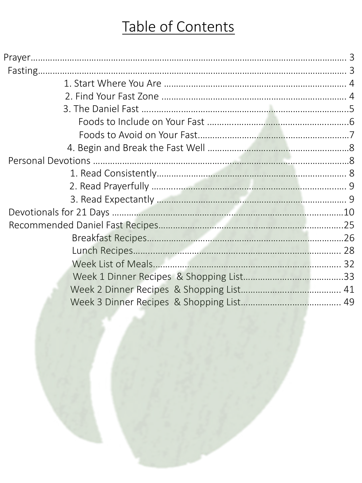# Table of Contents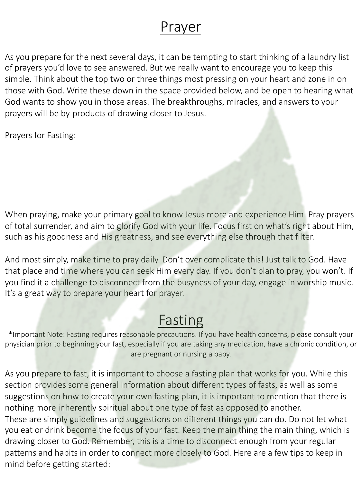# Prayer

As you prepare for the next several days, it can be tempting to start thinking of a laundry list of prayers you'd love to see answered. But we really want to encourage you to keep this simple. Think about the top two or three things most pressing on your heart and zone in on those with God. Write these down in the space provided below, and be open to hearing what God wants to show you in those areas. The breakthroughs, miracles, and answers to your prayers will be by-products of drawing closer to Jesus.

Prayers for Fasting:

When praying, make your primary goal to know Jesus more and experience Him. Pray prayers of total surrender, and aim to glorify God with your life. Focus first on what's right about Him, such as his goodness and His greatness, and see everything else through that filter.

And most simply, make time to pray daily. Don't over complicate this! Just talk to God. Have that place and time where you can seek Him every day. If you don't plan to pray, you won't. If you find it a challenge to disconnect from the busyness of your day, engage in worship music. It's a great way to prepare your heart for prayer.

# Fasting

\*Important Note: Fasting requires reasonable precautions. If you have health concerns, please consult your physician prior to beginning your fast, especially if you are taking any medication, have a chronic condition, or are pregnant or nursing a baby.

As you prepare to fast, it is important to choose a fasting plan that works for you. While this section provides some general information about different types of fasts, as well as some suggestions on how to create your own fasting plan, it is important to mention that there is nothing more inherently spiritual about one type of fast as opposed to another. These are simply guidelines and suggestions on different things you can do. Do not let what you eat or drink become the focus of your fast. Keep the main thing the main thing, which is drawing closer to God. Remember, this is a time to disconnect enough from your regular patterns and habits in order to connect more closely to God. Here are a few tips to keep in mind before getting started: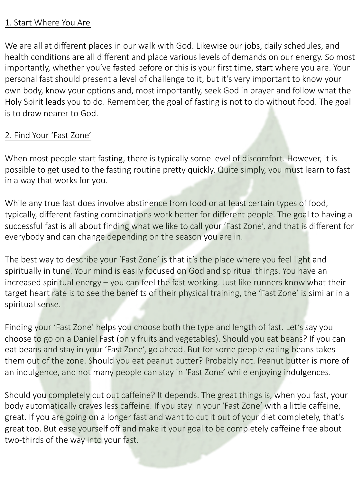#### 1. Start Where You Are

We are all at different places in our walk with God. Likewise our jobs, daily schedules, and health conditions are all different and place various levels of demands on our energy. So most importantly, whether you've fasted before or this is your first time, start where you are. Your personal fast should present a level of challenge to it, but it's very important to know your own body, know your options and, most importantly, seek God in prayer and follow what the Holy Spirit leads you to do. Remember, the goal of fasting is not to do without food. The goal is to draw nearer to God.

#### 2. Find Your 'Fast Zone'

When most people start fasting, there is typically some level of discomfort. However, it is possible to get used to the fasting routine pretty quickly. Quite simply, you must learn to fast in a way that works for you.

While any true fast does involve abstinence from food or at least certain types of food, typically, different fasting combinations work better for different people. The goal to having a successful fast is all about finding what we like to call your 'Fast Zone', and that is different for everybody and can change depending on the season you are in.

The best way to describe your 'Fast Zone' is that it's the place where you feel light and spiritually in tune. Your mind is easily focused on God and spiritual things. You have an increased spiritual energy – you can feel the fast working. Just like runners know what their target heart rate is to see the benefits of their physical training, the 'Fast Zone' is similar in a spiritual sense.

Finding your 'Fast Zone' helps you choose both the type and length of fast. Let's say you choose to go on a Daniel Fast (only fruits and vegetables). Should you eat beans? If you can eat beans and stay in your 'Fast Zone', go ahead. But for some people eating beans takes them out of the zone. Should you eat peanut butter? Probably not. Peanut butter is more of an indulgence, and not many people can stay in 'Fast Zone' while enjoying indulgences.

Should you completely cut out caffeine? It depends. The great things is, when you fast, your body automatically craves less caffeine. If you stay in your 'Fast Zone' with a little caffeine, great. If you are going on a longer fast and want to cut it out of your diet completely, that's great too. But ease yourself off and make it your goal to be completely caffeine free about two-thirds of the way into your fast.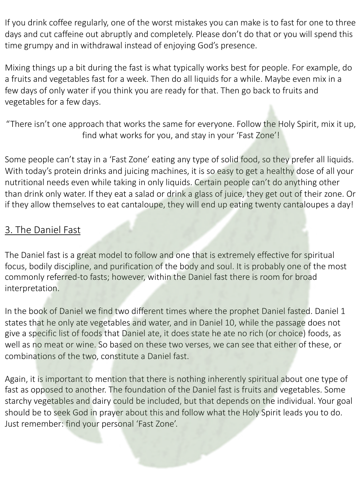If you drink coffee regularly, one of the worst mistakes you can make is to fast for one to three days and cut caffeine out abruptly and completely. Please don't do that or you will spend this time grumpy and in withdrawal instead of enjoying God's presence.

Mixing things up a bit during the fast is what typically works best for people. For example, do a fruits and vegetables fast for a week. Then do all liquids for a while. Maybe even mix in a few days of only water if you think you are ready for that. Then go back to fruits and vegetables for a few days.

"There isn't one approach that works the same for everyone. Follow the Holy Spirit, mix it up, find what works for you, and stay in your 'Fast Zone'!

Some people can't stay in a 'Fast Zone' eating any type of solid food, so they prefer all liquids. With today's protein drinks and juicing machines, it is so easy to get a healthy dose of all your nutritional needs even while taking in only liquids. Certain people can't do anything other than drink only water. If they eat a salad or drink a glass of juice, they get out of their zone. Or if they allow themselves to eat cantaloupe, they will end up eating twenty cantaloupes a day!

### 3. The Daniel Fast

The Daniel fast is a great model to follow and one that is extremely effective for spiritual focus, bodily discipline, and purification of the body and soul. It is probably one of the most commonly referred-to fasts; however, within the Daniel fast there is room for broad interpretation.

In the book of Daniel we find two different times where the prophet Daniel fasted. Daniel 1 states that he only ate vegetables and water, and in Daniel 10, while the passage does not give a specific list of foods that Daniel ate, it does state he ate no rich (or choice) foods, as well as no meat or wine. So based on these two verses, we can see that either of these, or combinations of the two, constitute a Daniel fast.

Again, it is important to mention that there is nothing inherently spiritual about one type of fast as opposed to another. The foundation of the Daniel fast is fruits and vegetables. Some starchy vegetables and dairy could be included, but that depends on the individual. Your goal should be to seek God in prayer about this and follow what the Holy Spirit leads you to do. Just remember: find your personal 'Fast Zone'.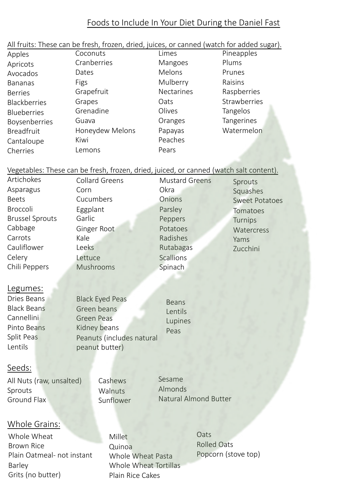#### Foods to Include In Your Diet During the Daniel Fast

#### All fruits: These can be fresh, frozen, dried, juices, or canned (watch for added sugar).

| Apples              | Coconuts        | Limes      | Pineapples   |
|---------------------|-----------------|------------|--------------|
| Apricots            | Cranberries     | Mangoes    | Plums        |
| Avocados            | Dates           | Melons     | Prunes       |
| <b>Bananas</b>      | Figs            | Mulberry   | Raisins      |
| <b>Berries</b>      | Grapefruit      | Nectarines | Raspberries  |
| <b>Blackberries</b> | Grapes          | Oats       | Strawberries |
| <b>Blueberries</b>  | Grenadine       | Olives     | Tangelos     |
| Boysenberries       | Guava           | Oranges    | Tangerines   |
| <b>Breadfruit</b>   | Honeydew Melons | Papayas    | Watermelon   |
| Cantaloupe          | Kiwi            | Peaches    |              |
| Cherries            | Lemons          | Pears      |              |

#### Vegetables: These can be fresh, frozen, dried, juiced, or canned (watch salt content).

| Artichokes             | <b>Collard Greens</b> | <b>Mustard Greens</b> | Sprouts               |
|------------------------|-----------------------|-----------------------|-----------------------|
| Asparagus              | Corn                  | Okra                  | Squashes              |
| <b>Beets</b>           | Cucumbers             | <b>Onions</b>         | <b>Sweet Potatoes</b> |
| Broccoli               | Eggplant              | Parsley               | Tomatoes              |
| <b>Brussel Sprouts</b> | Garlic                | Peppers               | Turnips               |
| Cabbage                | Ginger Root           | Potatoes              | Watercress            |
| Carrots                | Kale                  | Radishes              | Yams                  |
| Cauliflower            | Leeks                 | Rutabagas             | Zucchini              |
| Celery                 | Lettuce               | <b>Scallions</b>      |                       |
| Chili Peppers          | Mushrooms             | Spinach               |                       |

| Dries Beans        | <b>Black Eyed Peas</b>    | <b>Beans</b> |  |
|--------------------|---------------------------|--------------|--|
| <b>Black Beans</b> | Green beans               | Lentils      |  |
| Cannellini         | <b>Green Peas</b>         | Lupines      |  |
| Pinto Beans        | Kidney beans              | Peas         |  |
| <b>Split Peas</b>  | Peanuts (includes natural |              |  |
| Lentils            | peanut butter)            |              |  |

#### Seeds:

Legumes:

All Nuts (raw, unsalted) Sprouts Ground Flax

#### Cashews **Walnuts** Sunflower

Sesame Almonds Natural Almond Butter

#### Whole Grains:

- Whole Wheat Brown Rice Plain Oatmeal- not instant Barley Grits (no butter)
- Millet Quinoa Whole Wheat Pasta Whole Wheat Tortillas Plain Rice Cakes

Oats Rolled Oats Popcorn (stove top)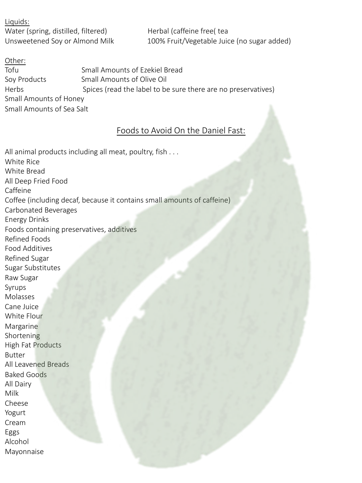Liquids: Water (spring, distilled, filtered) Herbal (caffeine free (tea

Unsweetened Soy or Almond Milk 100% Fruit/Vegetable Juice (no sugar added)

#### Other:

Tofu Small Amounts of Ezekiel Bread Soy Products Small Amounts of Olive Oil Herbs Spices (read the label to be sure there are no preservatives) Small Amounts of Honey Small Amounts of Sea Salt

#### Foods to Avoid On the Daniel Fast:

All animal products including all meat, poultry, fish . . . White Rice White Bread All Deep Fried Food Caffeine Coffee (including decaf, because it contains small amounts of caffeine) Carbonated Beverages Energy Drinks Foods containing preservatives, additives Refined Foods Food Additives Refined Sugar Sugar Substitutes Raw Sugar Syrups Molasses Cane Juice White Flour Margarine **Shortening** High Fat Products Butter All Leavened Breads Baked Goods All Dairy Milk Cheese Yogurt Cream Eggs Alcohol Mayonnaise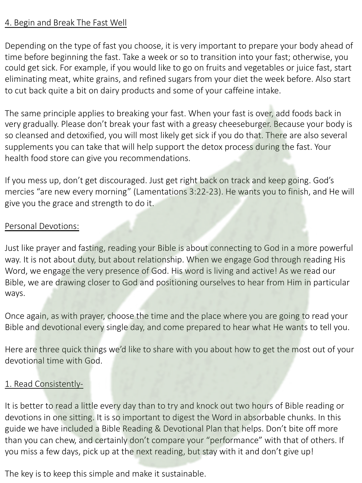#### 4. Begin and Break The Fast Well

Depending on the type of fast you choose, it is very important to prepare your body ahead of time before beginning the fast. Take a week or so to transition into your fast; otherwise, you could get sick. For example, if you would like to go on fruits and vegetables or juice fast, start eliminating meat, white grains, and refined sugars from your diet the week before. Also start to cut back quite a bit on dairy products and some of your caffeine intake.

The same principle applies to breaking your fast. When your fast is over, add foods back in very gradually. Please don't break your fast with a greasy cheeseburger. Because your body is so cleansed and detoxified, you will most likely get sick if you do that. There are also several supplements you can take that will help support the detox process during the fast. Your health food store can give you recommendations.

If you mess up, don't get discouraged. Just get right back on track and keep going. God's mercies "are new every morning" (Lamentations 3:22-23). He wants you to finish, and He will give you the grace and strength to do it.

#### Personal Devotions:

Just like prayer and fasting, reading your Bible is about connecting to God in a more powerful way. It is not about duty, but about relationship. When we engage God through reading His Word, we engage the very presence of God. His word is living and active! As we read our Bible, we are drawing closer to God and positioning ourselves to hear from Him in particular ways.

Once again, as with prayer, choose the time and the place where you are going to read your Bible and devotional every single day, and come prepared to hear what He wants to tell you.

Here are three quick things we'd like to share with you about how to get the most out of your devotional time with God.

#### 1. Read Consistently-

It is better to read a little every day than to try and knock out two hours of Bible reading or devotions in one sitting. It is so important to digest the Word in absorbable chunks. In this guide we have included a Bible Reading & Devotional Plan that helps. Don't bite off more than you can chew, and certainly don't compare your "performance" with that of others. If you miss a few days, pick up at the next reading, but stay with it and don't give up!

The key is to keep this simple and make it sustainable.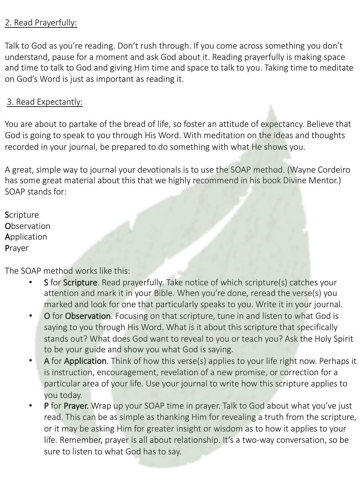#### 2. Read Prayerfully:

Talk to God as you're reading. Don't rush through. If you come across something you don't understand, pause for a moment and ask God about it. Reading prayerfully is making space and time to talk to God and giving Him time and space to talk to you. Taking time to meditate on God's Word is just as important as reading it.

#### 3. Read Expectantly:

You are about to partake of the bread of life, so foster an attitude of expectancy. Believe that God is going to speak to you through His Word. With meditation on the ideas and thoughts recorded in your journal, be prepared to do something with what He shows you.

A great, simple way to journal your devotionals is to use the SOAP method. (Wayne Cordeiro has some great material about this that we highly recommend in his book Divine Mentor.) SOAP stands for:

**Scripture Observation** Application Prayer

The SOAP method works like this:

- S for Scripture. Read prayerfully. Take notice of which scripture(s) catches your attention and mark it in your Bible. When you're done, reread the verse(s) you marked and look for one that particularly speaks to you. Write it in your journal.
- O for Observation. Focusing on that scripture, tune in and listen to what God is saying to you through His Word. What is it about this scripture that specifically stands out? What does God want to reveal to you or teach you? Ask the Holy Spirit to be your guide and show you what God is saying.
- A for Application. Think of how this verse(s) applies to your life right now. Perhaps it is instruction, encouragement, revelation of a new promise, or correction for a particular area of your life. Use your journal to write how this scripture applies to you today.
- P for Prayer. Wrap up your SOAP time in prayer. Talk to God about what you've just read. This can be as simple as thanking Him for revealing a truth from the scripture, or it may be asking Him for greater insight or wisdom as to how it applies to your life. Remember, prayer is all about relationship. It's a two-way conversation, so be sure to listen to what God has to say.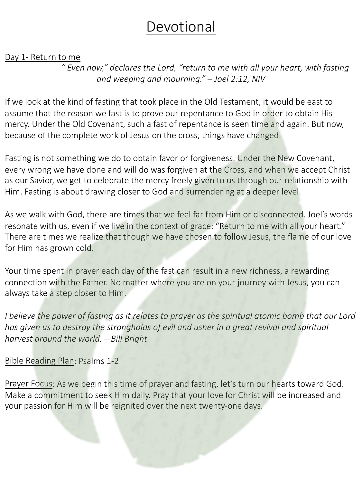Day 1- Return to me

*" Even now," declares the Lord, "return to me with all your heart, with fasting and weeping and mourning." – Joel 2:12, NIV*

If we look at the kind of fasting that took place in the Old Testament, it would be east to assume that the reason we fast is to prove our repentance to God in order to obtain His mercy. Under the Old Covenant, such a fast of repentance is seen time and again. But now, because of the complete work of Jesus on the cross, things have changed.

Fasting is not something we do to obtain favor or forgiveness. Under the New Covenant, every wrong we have done and will do was forgiven at the Cross, and when we accept Christ as our Savior, we get to celebrate the mercy freely given to us through our relationship with Him. Fasting is about drawing closer to God and surrendering at a deeper level.

As we walk with God, there are times that we feel far from Him or disconnected. Joel's words resonate with us, even if we live in the context of grace: "Return to me with all your heart." There are times we realize that though we have chosen to follow Jesus, the flame of our love for Him has grown cold.

Your time spent in prayer each day of the fast can result in a new richness, a rewarding connection with the Father. No matter where you are on your journey with Jesus, you can always take a step closer to Him.

*I believe the power of fasting as it relates to prayer as the spiritual atomic bomb that our Lord has given us to destroy the strongholds of evil and usher in a great revival and spiritual harvest around the world. – Bill Bright* 

Bible Reading Plan: Psalms 1-2

Prayer Focus: As we begin this time of prayer and fasting, let's turn our hearts toward God. Make a commitment to seek Him daily. Pray that your love for Christ will be increased and your passion for Him will be reignited over the next twenty-one days.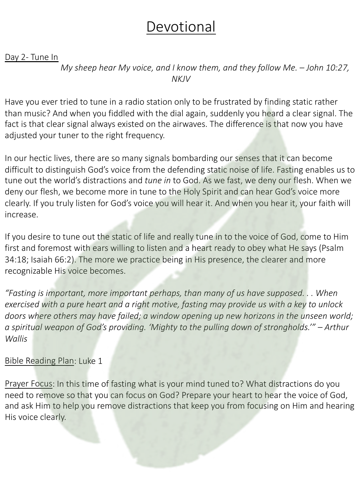Day 2- Tune In

*My sheep hear My voice, and I know them, and they follow Me. – John 10:27, NKJV*

Have you ever tried to tune in a radio station only to be frustrated by finding static rather than music? And when you fiddled with the dial again, suddenly you heard a clear signal. The fact is that clear signal always existed on the airwaves. The difference is that now you have adjusted your tuner to the right frequency.

In our hectic lives, there are so many signals bombarding our senses that it can become difficult to distinguish God's voice from the defending static noise of life. Fasting enables us to tune out the world's distractions and *tune in* to God. As we fast, we deny our flesh. When we deny our flesh, we become more in tune to the Holy Spirit and can hear God's voice more clearly. If you truly listen for God's voice you will hear it. And when you hear it, your faith will increase.

If you desire to tune out the static of life and really tune in to the voice of God, come to Him first and foremost with ears willing to listen and a heart ready to obey what He says (Psalm 34:18; Isaiah 66:2). The more we practice being in His presence, the clearer and more recognizable His voice becomes.

*"Fasting is important, more important perhaps, than many of us have supposed. . . When exercised with a pure heart and a right motive, fasting may provide us with a key to unlock doors where others may have failed; a window opening up new horizons in the unseen world; a spiritual weapon of God's providing. 'Mighty to the pulling down of strongholds.'" – Arthur Wallis* 

#### Bible Reading Plan: Luke 1

Prayer Focus: In this time of fasting what is your mind tuned to? What distractions do you need to remove so that you can focus on God? Prepare your heart to hear the voice of God, and ask Him to help you remove distractions that keep you from focusing on Him and hearing His voice clearly.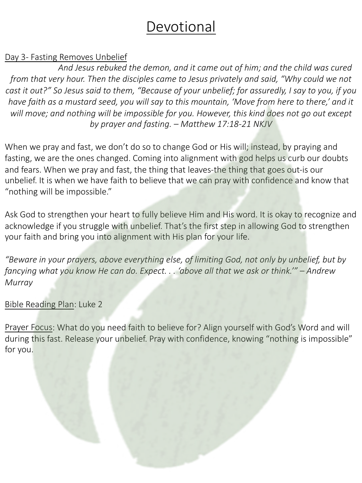#### Day 3- Fasting Removes Unbelief

*And Jesus rebuked the demon, and it came out of him; and the child was cured from that very hour. Then the disciples came to Jesus privately and said, "Why could we not cast it out?" So Jesus said to them, "Because of your unbelief; for assuredly, I say to you, if you have faith as a mustard seed, you will say to this mountain, 'Move from here to there,' and it will move; and nothing will be impossible for you. However, this kind does not go out except by prayer and fasting. – Matthew 17:18-21 NKJV*

When we pray and fast, we don't do so to change God or His will; instead, by praying and fasting, we are the ones changed. Coming into alignment with god helps us curb our doubts and fears. When we pray and fast, the thing that leaves-the thing that goes out-is our unbelief. It is when we have faith to believe that we can pray with confidence and know that "nothing will be impossible."

Ask God to strengthen your heart to fully believe Him and His word. It is okay to recognize and acknowledge if you struggle with unbelief. That's the first step in allowing God to strengthen your faith and bring you into alignment with His plan for your life.

*"Beware in your prayers, above everything else, of limiting God, not only by unbelief, but by fancying what you know He can do. Expect. . . 'above all that we ask or think.'" – Andrew Murray*

#### Bible Reading Plan: Luke 2

Prayer Focus: What do you need faith to believe for? Align yourself with God's Word and will during this fast. Release your unbelief. Pray with confidence, knowing "nothing is impossible" for you.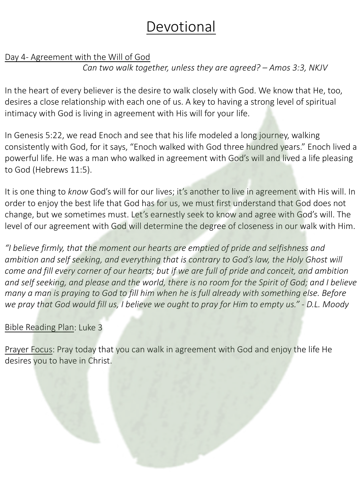#### Day 4- Agreement with the Will of God

*Can two walk together, unless they are agreed? – Amos 3:3, NKJV*

In the heart of every believer is the desire to walk closely with God. We know that He, too, desires a close relationship with each one of us. A key to having a strong level of spiritual intimacy with God is living in agreement with His will for your life.

In Genesis 5:22, we read Enoch and see that his life modeled a long journey, walking consistently with God, for it says, "Enoch walked with God three hundred years." Enoch lived a powerful life. He was a man who walked in agreement with God's will and lived a life pleasing to God (Hebrews 11:5).

It is one thing to *know* God's will for our lives; it's another to live in agreement with His will. In order to enjoy the best life that God has for us, we must first understand that God does not change, but we sometimes must. Let's earnestly seek to know and agree with God's will. The level of our agreement with God will determine the degree of closeness in our walk with Him.

*"I believe firmly, that the moment our hearts are emptied of pride and selfishness and ambition and self seeking, and everything that is contrary to God's law, the Holy Ghost will come and fill every corner of our hearts; but if we are full of pride and conceit, and ambition and self seeking, and please and the world, there is no room for the Spirit of God; and I believe many a man is praying to God to fill him when he is full already with something else. Before we pray that God would fill us, I believe we ought to pray for Him to empty us." - D.L. Moody*

#### Bible Reading Plan: Luke 3

Prayer Focus: Pray today that you can walk in agreement with God and enjoy the life He desires you to have in Christ.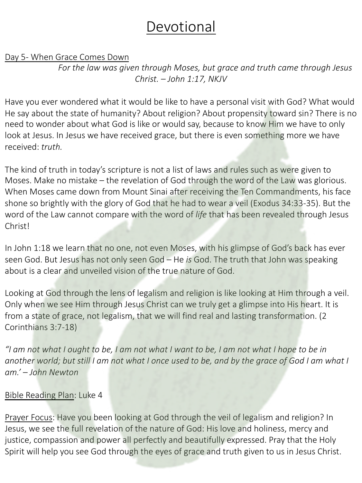Day 5- When Grace Comes Down

*For the law was given through Moses, but grace and truth came through Jesus Christ. – John 1:17, NKJV*

Have you ever wondered what it would be like to have a personal visit with God? What would He say about the state of humanity? About religion? About propensity toward sin? There is no need to wonder about what God is like or would say, because to know Him we have to only look at Jesus. In Jesus we have received grace, but there is even something more we have received: *truth.*

The kind of truth in today's scripture is not a list of laws and rules such as were given to Moses. Make no mistake – the revelation of God through the word of the Law was glorious. When Moses came down from Mount Sinai after receiving the Ten Commandments, his face shone so brightly with the glory of God that he had to wear a veil (Exodus 34:33-35). But the word of the Law cannot compare with the word of *life* that has been revealed through Jesus Christ!

In John 1:18 we learn that no one, not even Moses, with his glimpse of God's back has ever seen God. But Jesus has not only seen God – He *is* God. The truth that John was speaking about is a clear and unveiled vision of the true nature of God.

Looking at God through the lens of legalism and religion is like looking at Him through a veil. Only when we see Him through Jesus Christ can we truly get a glimpse into His heart. It is from a state of grace, not legalism, that we will find real and lasting transformation. (2 Corinthians 3:7-18)

*"I am not what I ought to be, I am not what I want to be, I am not what I hope to be in another world; but still I am not what I once used to be, and by the grace of God I am what I am.' – John Newton*

#### Bible Reading Plan: Luke 4

Prayer Focus: Have you been looking at God through the veil of legalism and religion? In Jesus, we see the full revelation of the nature of God: His love and holiness, mercy and justice, compassion and power all perfectly and beautifully expressed. Pray that the Holy Spirit will help you see God through the eyes of grace and truth given to us in Jesus Christ.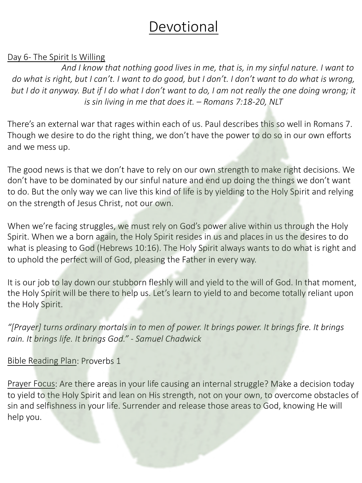#### Day 6- The Spirit Is Willing

*And I know that nothing good lives in me, that is, in my sinful nature. I want to do what is right, but I can't. I want to do good, but I don't. I don't want to do what is wrong, but I do it anyway. But if I do what I don't want to do, I am not really the one doing wrong; it is sin living in me that does it. – Romans 7:18-20, NLT*

There's an external war that rages within each of us. Paul describes this so well in Romans 7. Though we desire to do the right thing, we don't have the power to do so in our own efforts and we mess up.

The good news is that we don't have to rely on our own strength to make right decisions. We don't have to be dominated by our sinful nature and end up doing the things we don't want to do. But the only way we can live this kind of life is by yielding to the Holy Spirit and relying on the strength of Jesus Christ, not our own.

When we're facing struggles, we must rely on God's power alive within us through the Holy Spirit. When we a born again, the Holy Spirit resides in us and places in us the desires to do what is pleasing to God (Hebrews 10:16). The Holy Spirit always wants to do what is right and to uphold the perfect will of God, pleasing the Father in every way.

It is our job to lay down our stubborn fleshly will and yield to the will of God. In that moment, the Holy Spirit will be there to help us. Let's learn to yield to and become totally reliant upon the Holy Spirit.

*"[Prayer] turns ordinary mortals in to men of power. It brings power. It brings fire. It brings rain. It brings life. It brings God." - Samuel Chadwick* 

Bible Reading Plan: Proverbs 1

Prayer Focus: Are there areas in your life causing an internal struggle? Make a decision today to yield to the Holy Spirit and lean on His strength, not on your own, to overcome obstacles of sin and selfishness in your life. Surrender and release those areas to God, knowing He will help you.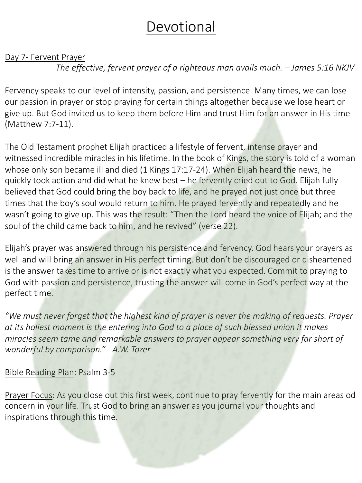#### Day 7- Fervent Prayer

*The effective, fervent prayer of a righteous man avails much. – James 5:16 NKJV*

Fervency speaks to our level of intensity, passion, and persistence. Many times, we can lose our passion in prayer or stop praying for certain things altogether because we lose heart or give up. But God invited us to keep them before Him and trust Him for an answer in His time (Matthew 7:7-11).

The Old Testament prophet Elijah practiced a lifestyle of fervent, intense prayer and witnessed incredible miracles in his lifetime. In the book of Kings, the story is told of a woman whose only son became ill and died (1 Kings 17:17-24). When Elijah heard the news, he quickly took action and did what he knew best – he fervently cried out to God. Elijah fully believed that God could bring the boy back to life, and he prayed not just once but three times that the boy's soul would return to him. He prayed fervently and repeatedly and he wasn't going to give up. This was the result: "Then the Lord heard the voice of Elijah; and the soul of the child came back to him, and he revived" (verse 22).

Elijah's prayer was answered through his persistence and fervency. God hears your prayers as well and will bring an answer in His perfect timing. But don't be discouraged or disheartened is the answer takes time to arrive or is not exactly what you expected. Commit to praying to God with passion and persistence, trusting the answer will come in God's perfect way at the perfect time.

*"We must never forget that the highest kind of prayer is never the making of requests. Prayer at its holiest moment is the entering into God to a place of such blessed union it makes miracles seem tame and remarkable answers to prayer appear something very far short of wonderful by comparison." - A.W. Tozer* 

Bible Reading Plan: Psalm 3-5

Prayer Focus: As you close out this first week, continue to pray fervently for the main areas od concern in your life. Trust God to bring an answer as you journal your thoughts and inspirations through this time.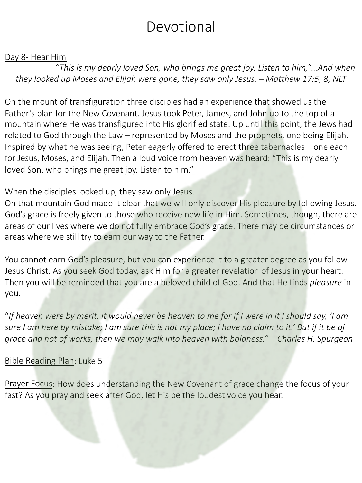#### Day 8- Hear Him

*"This is my dearly loved Son, who brings me great joy. Listen to him,"…And when they looked up Moses and Elijah were gone, they saw only Jesus. – Matthew 17:5, 8, NLT*

On the mount of transfiguration three disciples had an experience that showed us the Father's plan for the New Covenant. Jesus took Peter, James, and John up to the top of a mountain where He was transfigured into His glorified state. Up until this point, the Jews had related to God through the Law – represented by Moses and the prophets, one being Elijah. Inspired by what he was seeing, Peter eagerly offered to erect three tabernacles – one each for Jesus, Moses, and Elijah. Then a loud voice from heaven was heard: "This is my dearly loved Son, who brings me great joy. Listen to him."

When the disciples looked up, they saw only Jesus.

On that mountain God made it clear that we will only discover His pleasure by following Jesus. God's grace is freely given to those who receive new life in Him. Sometimes, though, there are areas of our lives where we do not fully embrace God's grace. There may be circumstances or areas where we still try to earn our way to the Father.

You cannot earn God's pleasure, but you can experience it to a greater degree as you follow Jesus Christ. As you seek God today, ask Him for a greater revelation of Jesus in your heart. Then you will be reminded that you are a beloved child of God. And that He finds *pleasure* in you.

"*If heaven were by merit, it would never be heaven to me for if I were in it I should say, 'I am sure I am here by mistake; I am sure this is not my place; I have no claim to it.' But if it be of grace and not of works, then we may walk into heaven with boldness." – Charles H. Spurgeon* 

Bible Reading Plan: Luke 5

Prayer Focus: How does understanding the New Covenant of grace change the focus of your fast? As you pray and seek after God, let His be the loudest voice you hear.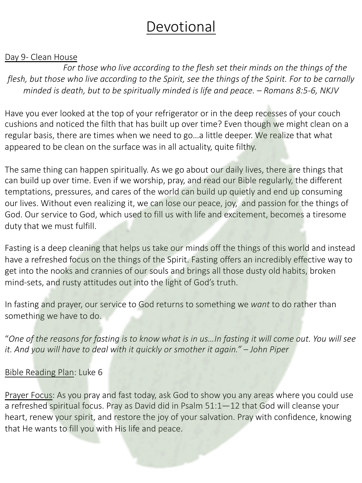#### Day 9- Clean House

*For those who live according to the flesh set their minds on the things of the flesh, but those who live according to the Spirit, see the things of the Spirit. For to be carnally minded is death, but to be spiritually minded is life and peace. – Romans 8:5-6, NKJV*

Have you ever looked at the top of your refrigerator or in the deep recesses of your couch cushions and noticed the filth that has built up over time? Even though we might clean on a regular basis, there are times when we need to go…a little deeper. We realize that what appeared to be clean on the surface was in all actuality, quite filthy.

The same thing can happen spiritually. As we go about our daily lives, there are things that can build up over time. Even if we worship, pray, and read our Bible regularly, the different temptations, pressures, and cares of the world can build up quietly and end up consuming our lives. Without even realizing it, we can lose our peace, joy, and passion for the things of God. Our service to God, which used to fill us with life and excitement, becomes a tiresome duty that we must fulfill.

Fasting is a deep cleaning that helps us take our minds off the things of this world and instead have a refreshed focus on the things of the Spirit. Fasting offers an incredibly effective way to get into the nooks and crannies of our souls and brings all those dusty old habits, broken mind-sets, and rusty attitudes out into the light of God's truth.

In fasting and prayer, our service to God returns to something we *want* to do rather than something we have to do.

"*One of the reasons for fasting is to know what is in us…In fasting it will come out. You will see it. And you will have to deal with it quickly or smother it again." – John Piper*

#### Bible Reading Plan: Luke 6

Prayer Focus: As you pray and fast today, ask God to show you any areas where you could use a refreshed spiritual focus. Pray as David did in Psalm 51:1—12 that God will cleanse your heart, renew your spirit, and restore the joy of your salvation. Pray with confidence, knowing that He wants to fill you with His life and peace.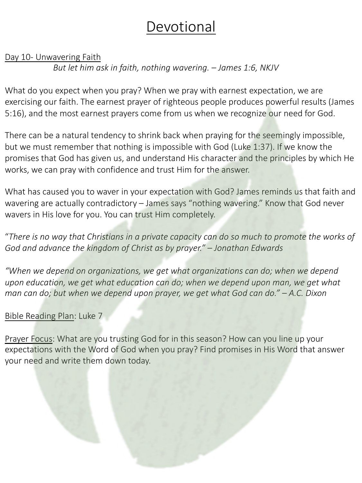#### Day 10- Unwavering Faith

*But let him ask in faith, nothing wavering. – James 1:6, NKJV* 

What do you expect when you pray? When we pray with earnest expectation, we are exercising our faith. The earnest prayer of righteous people produces powerful results (James 5:16), and the most earnest prayers come from us when we recognize our need for God.

There can be a natural tendency to shrink back when praying for the seemingly impossible, but we must remember that nothing is impossible with God (Luke 1:37). If we know the promises that God has given us, and understand His character and the principles by which He works, we can pray with confidence and trust Him for the answer.

What has caused you to waver in your expectation with God? James reminds us that faith and wavering are actually contradictory – James says "nothing wavering." Know that God never wavers in His love for you. You can trust Him completely.

"*There is no way that Christians in a private capacity can do so much to promote the works of God and advance the kingdom of Christ as by prayer." – Jonathan Edwards* 

*"When we depend on organizations, we get what organizations can do; when we depend*  upon education, we get what education can do; when we depend upon man, we get what *man can do; but when we depend upon prayer, we get what God can do." – A.C. Dixon*

#### Bible Reading Plan: Luke 7

Prayer Focus: What are you trusting God for in this season? How can you line up your expectations with the Word of God when you pray? Find promises in His Word that answer your need and write them down today.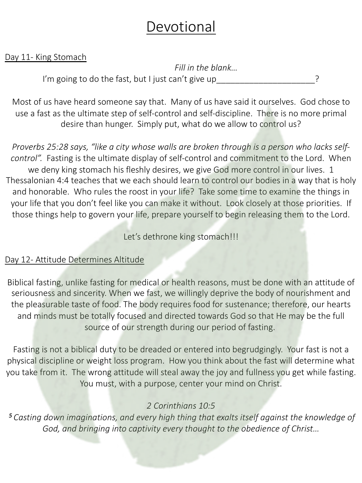#### Day 11- King Stomach

*Fill in the blank…*

I'm going to do the fast, but I just can't give up  $\blacksquare$ 

Most of us have heard someone say that. Many of us have said it ourselves. God chose to use a fast as the ultimate step of self-control and self-discipline. There is no more primal desire than hunger. Simply put, what do we allow to control us?

*Proverbs 25:28 says, "like a city whose walls are broken through is a person who lacks selfcontrol".* Fasting is the ultimate display of self-control and commitment to the Lord. When we deny king stomach his fleshly desires, we give God more control in our lives. 1 Thessalonian 4:4 teaches that we each should learn to control our bodies in a way that is holy and honorable. Who rules the roost in your life? Take some time to examine the things in your life that you don't feel like you can make it without. Look closely at those priorities. If those things help to govern your life, prepare yourself to begin releasing them to the Lord.

Let's dethrone king stomach!!!

#### Day 12- Attitude Determines Altitude

Biblical fasting, unlike fasting for medical or health reasons, must be done with an attitude of seriousness and sincerity. When we fast, we willingly deprive the body of nourishment and the pleasurable taste of food. The body requires food for sustenance; therefore, our hearts and minds must be totally focused and directed towards God so that He may be the full source of our strength during our period of fasting.

Fasting is not a biblical duty to be dreaded or entered into begrudgingly. Your fast is not a physical discipline or weight loss program. How you think about the fast will determine what you take from it. The wrong attitude will steal away the joy and fullness you get while fasting. You must, with a purpose, center your mind on Christ.

#### *2 Corinthians 10:5*

*<sup>5</sup> Casting down imaginations, and every high thing that exalts itself against the knowledge of God, and bringing into captivity every thought to the obedience of Christ…*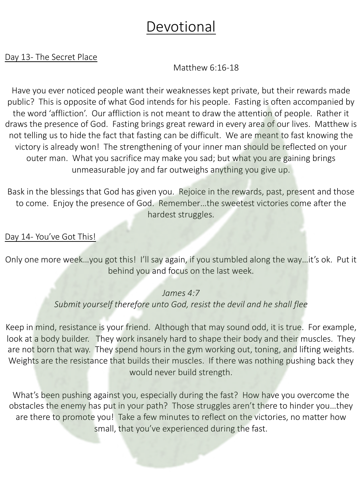#### Day 13- The Secret Place

#### Matthew 6:16-18

Have you ever noticed people want their weaknesses kept private, but their rewards made public? This is opposite of what God intends for his people. Fasting is often accompanied by the word 'affliction'. Our affliction is not meant to draw the attention of people. Rather it draws the presence of God. Fasting brings great reward in every area of our lives. Matthew is not telling us to hide the fact that fasting can be difficult. We are meant to fast knowing the victory is already won! The strengthening of your inner man should be reflected on your outer man. What you sacrifice may make you sad; but what you are gaining brings unmeasurable joy and far outweighs anything you give up.

Bask in the blessings that God has given you. Rejoice in the rewards, past, present and those to come. Enjoy the presence of God. Remember…the sweetest victories come after the hardest struggles.

#### Day 14- You've Got This!

Only one more week…you got this! I'll say again, if you stumbled along the way…it's ok. Put it behind you and focus on the last week.

#### *James 4:7*

#### *Submit yourself therefore unto God, resist the devil and he shall flee*

Keep in mind, resistance is your friend. Although that may sound odd, it is true. For example, look at a body builder. They work insanely hard to shape their body and their muscles. They are not born that way. They spend hours in the gym working out, toning, and lifting weights. Weights are the resistance that builds their muscles. If there was nothing pushing back they would never build strength.

What's been pushing against you, especially during the fast? How have you overcome the obstacles the enemy has put in your path? Those struggles aren't there to hinder you…they are there to promote you! Take a few minutes to reflect on the victories, no matter how small, that you've experienced during the fast.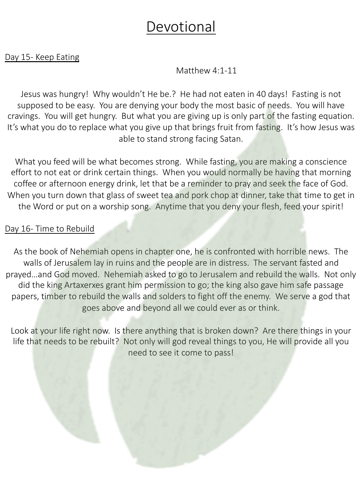#### Day 15- Keep Eating

Matthew 4:1-11

Jesus was hungry! Why wouldn't He be.? He had not eaten in 40 days! Fasting is not supposed to be easy. You are denying your body the most basic of needs. You will have cravings. You will get hungry. But what you are giving up is only part of the fasting equation. It's what you do to replace what you give up that brings fruit from fasting. It's how Jesus was able to stand strong facing Satan.

What you feed will be what becomes strong. While fasting, you are making a conscience effort to not eat or drink certain things. When you would normally be having that morning coffee or afternoon energy drink, let that be a reminder to pray and seek the face of God. When you turn down that glass of sweet tea and pork chop at dinner, take that time to get in the Word or put on a worship song. Anytime that you deny your flesh, feed your spirit!

#### Day 16- Time to Rebuild

As the book of Nehemiah opens in chapter one, he is confronted with horrible news. The walls of Jerusalem lay in ruins and the people are in distress. The servant fasted and prayed…and God moved. Nehemiah asked to go to Jerusalem and rebuild the walls. Not only did the king Artaxerxes grant him permission to go; the king also gave him safe passage papers, timber to rebuild the walls and solders to fight off the enemy. We serve a god that goes above and beyond all we could ever as or think.

Look at your life right now. Is there anything that is broken down? Are there things in your life that needs to be rebuilt? Not only will god reveal things to you, He will provide all you need to see it come to pass!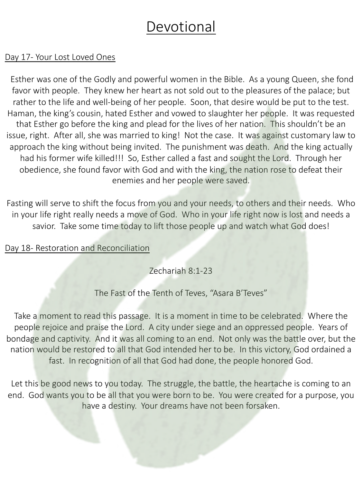#### Day 17- Your Lost Loved Ones

Esther was one of the Godly and powerful women in the Bible. As a young Queen, she fond favor with people. They knew her heart as not sold out to the pleasures of the palace; but rather to the life and well-being of her people. Soon, that desire would be put to the test. Haman, the king's cousin, hated Esther and vowed to slaughter her people. It was requested that Esther go before the king and plead for the lives of her nation. This shouldn't be an issue, right. After all, she was married to king! Not the case. It was against customary law to approach the king without being invited. The punishment was death. And the king actually had his former wife killed!!! So, Esther called a fast and sought the Lord. Through her obedience, she found favor with God and with the king, the nation rose to defeat their enemies and her people were saved.

Fasting will serve to shift the focus from you and your needs, to others and their needs. Who in your life right really needs a move of God. Who in your life right now is lost and needs a savior. Take some time today to lift those people up and watch what God does!

Day 18- Restoration and Reconciliation

Zechariah 8:1-23

The Fast of the Tenth of Teves, "Asara B'Teves"

Take a moment to read this passage. It is a moment in time to be celebrated. Where the people rejoice and praise the Lord. A city under siege and an oppressed people. Years of bondage and captivity. And it was all coming to an end. Not only was the battle over, but the nation would be restored to all that God intended her to be. In this victory, God ordained a fast. In recognition of all that God had done, the people honored God.

Let this be good news to you today. The struggle, the battle, the heartache is coming to an end. God wants you to be all that you were born to be. You were created for a purpose, you have a destiny. Your dreams have not been forsaken.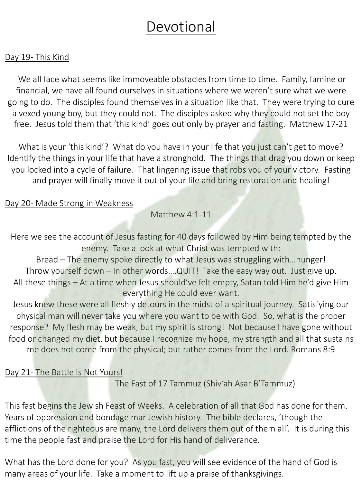#### Day 19- This Kind

We all face what seems like immoveable obstacles from time to time. Family, famine or financial, we have all found ourselves in situations where we weren't sure what we were going to do. The disciples found themselves in a situation like that. They were trying to cure a vexed young boy, but they could not. The disciples asked why they could not set the boy free. Jesus told them that 'this kind' goes out only by prayer and fasting. Matthew 17-21

What is your 'this kind'? What do you have in your life that you just can't get to move? Identify the things in your life that have a stronghold. The things that drag you down or keep you locked into a cycle of failure. That lingering issue that robs you of your victory. Fasting and prayer will finally move it out of your life and bring restoration and healing!

#### Day 20- Made Strong in Weakness

Matthew 4:1-11

Here we see the account of Jesus fasting for 40 days followed by Him being tempted by the enemy. Take a look at what Christ was tempted with:

Bread – The enemy spoke directly to what Jesus was struggling with…hunger! Throw yourself down – In other words….QUIT! Take the easy way out. Just give up. All these things – At a time when Jesus should've felt empty, Satan told Him he'd give Him everything He could ever want.

Jesus knew these were all fleshly detours in the midst of a spiritual journey. Satisfying our physical man will never take you where you want to be with God. So, what is the proper response? My flesh may be weak, but my spirit is strong! Not because I have gone without food or changed my diet, but because I recognize my hope, my strength and all that sustains me does not come from the physical; but rather comes from the Lord. Romans 8:9

#### Day 21- The Battle Is Not Yours!

The Fast of 17 Tammuz (Shiv'ah Asar B'Tammuz)

This fast begins the Jewish Feast of Weeks. A celebration of all that God has done for them. Years of oppression and bondage mar Jewish history. The bible declares, 'though the afflictions of the righteous are many, the Lord delivers them out of them all'. It is during this time the people fast and praise the Lord for His hand of deliverance.

What has the Lord done for you? As you fast, you will see evidence of the hand of God is many areas of your life. Take a moment to lift up a praise of thanksgivings.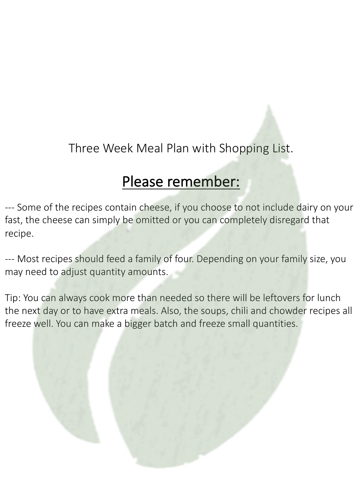Three Week Meal Plan with Shopping List.

# Please remember:

--- Some of the recipes contain cheese, if you choose to not include dairy on your fast, the cheese can simply be omitted or you can completely disregard that recipe.

--- Most recipes should feed a family of four. Depending on your family size, you may need to adjust quantity amounts.

Tip: You can always cook more than needed so there will be leftovers for lunch the next day or to have extra meals. Also, the soups, chili and chowder recipes all freeze well. You can make a bigger batch and freeze small quantities.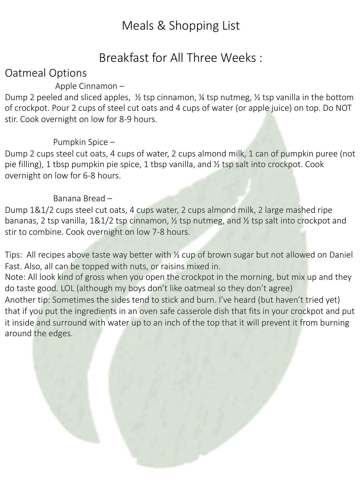# Breakfast for All Three Weeks :

### Oatmeal Options

#### Apple Cinnamon –

Dump 2 peeled and sliced apples, ½ tsp cinnamon, ¼ tsp nutmeg, ½ tsp vanilla in the bottom of crockpot. Pour 2 cups of steel cut oats and 4 cups of water (or apple juice) on top. Do NOT stir. Cook overnight on low for 8-9 hours.

#### Pumpkin Spice –

Dump 2 cups steel cut oats, 4 cups of water, 2 cups almond milk, 1 can of pumpkin puree (not pie filling), 1 tbsp pumpkin pie spice, 1 tbsp vanilla, and ½ tsp salt into crockpot. Cook overnight on low for 6-8 hours.

#### Banana Bread –

Dump 1&1/2 cups steel cut oats, 4 cups water, 2 cups almond milk, 2 large mashed ripe bananas, 2 tsp vanilla, 1&1/2 tsp cinnamon, ½ tsp nutmeg, and ½ tsp salt into crockpot and stir to combine. Cook overnight on low 7-8 hours.

Tips: All recipes above taste way better with  $\frac{1}{2}$  cup of brown sugar but not allowed on Daniel Fast. Also, all can be topped with nuts, or raisins mixed in.

Note: All look kind of gross when you open the crockpot in the morning, but mix up and they do taste good. LOL (although my boys don't like oatmeal so they don't agree) Another tip: Sometimes the sides tend to stick and burn. I've heard (but haven't tried yet) that if you put the ingredients in an oven safe casserole dish that fits in your crockpot and put it inside and surround with water up to an inch of the top that it will prevent it from burning around the edges.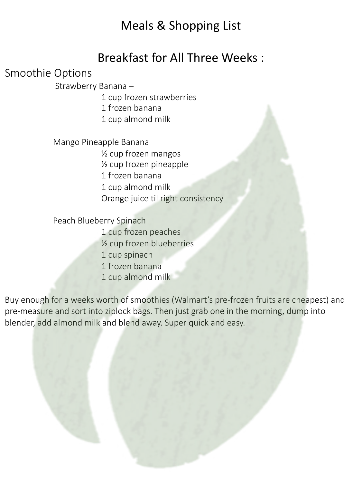# Breakfast for All Three Weeks :

### Smoothie Options

Strawberry Banana –

- 1 cup frozen strawberries
- 1 frozen banana
- 1 cup almond milk

Mango Pineapple Banana ½ cup frozen mangos ½ cup frozen pineapple 1 frozen banana 1 cup almond milk Orange juice til right consistency

#### Peach Blueberry Spinach

1 cup frozen peaches ½ cup frozen blueberries 1 cup spinach 1 frozen banana 1 cup almond milk

Buy enough for a weeks worth of smoothies (Walmart's pre-frozen fruits are cheapest) and pre-measure and sort into ziplock bags. Then just grab one in the morning, dump into blender, add almond milk and blend away. Super quick and easy.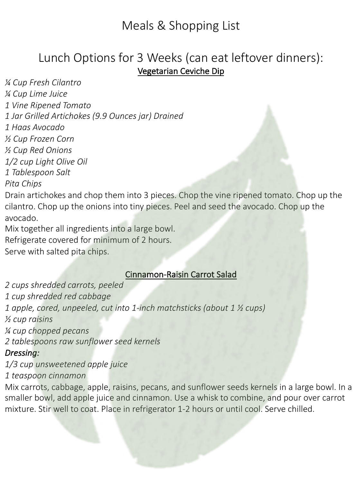### Lunch Options for 3 Weeks (can eat leftover dinners): Vegetarian Ceviche Dip

*¼ Cup Fresh Cilantro*

*¼ Cup Lime Juice*

*1 Vine Ripened Tomato*

*1 Jar Grilled Artichokes (9.9 Ounces jar) Drained*

*1 Haas Avocado*

*½ Cup Frozen Corn*

*½ Cup Red Onions*

*1/2 cup Light Olive Oil*

*1 Tablespoon Salt*

*Pita Chips*

Drain artichokes and chop them into 3 pieces. Chop the vine ripened tomato. Chop up the cilantro. Chop up the onions into tiny pieces. Peel and seed the avocado. Chop up the avocado.

Mix together all ingredients into a large bowl.

Refrigerate covered for minimum of 2 hours.

Serve with salted pita chips.

#### Cinnamon-Raisin Carrot Salad

*2 cups shredded carrots, peeled 1 cup shredded red cabbage 1 apple, cored, unpeeled, cut into 1-inch matchsticks (about 1 ½ cups) ½ cup raisins ¼ cup chopped pecans 2 tablespoons raw sunflower seed kernels Dressing:*

*1/3 cup unsweetened apple juice*

#### *1 teaspoon cinnamon*

Mix carrots, cabbage, apple, raisins, pecans, and sunflower seeds kernels in a large bowl. In a smaller bowl, add apple juice and cinnamon. Use a whisk to combine, and pour over carrot mixture. Stir well to coat. Place in refrigerator 1-2 hours or until cool. Serve chilled.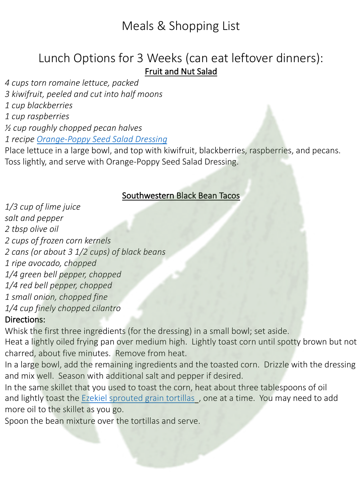### Lunch Options for 3 Weeks (can eat leftover dinners): Fruit and Nut Salad

*4 cups torn romaine lettuce, packed 3 kiwifruit, peeled and cut into half moons 1 cup blackberries 1 cup raspberries ½ cup roughly chopped pecan halves 1 recipe [Orange-Poppy Seed Salad Dressing](http://www.ultimatedanielfast.com/theres-nothing-like-an-ozarks-sunset/)* Place lettuce in a large bowl, and top with kiwifruit, blackberries, raspberries, and pecans. Toss lightly, and serve with Orange-Poppy Seed Salad Dressing.

#### Southwestern Black Bean Tacos

*1/3 cup of lime juice salt and pepper 2 tbsp olive oil 2 cups of frozen corn kernels 2 cans (or about 3 1/2 cups) of black beans 1 ripe avocado, chopped 1/4 green bell pepper, chopped 1/4 red bell pepper, chopped 1 small onion, chopped fine 1/4 cup finely chopped cilantro* Directions:

Whisk the first three ingredients (for the dressing) in a small bowl; set aside. Heat a lightly oiled frying pan over medium high. Lightly toast corn until spotty brown but not charred, about five minutes. Remove from heat.

In a large bowl, add the remaining ingredients and the toasted corn. Drizzle with the dressing and mix well. Season with additional salt and pepper if desired.

In the same skillet that you used to toast the corn, heat about three tablespoons of oil and lightly toast the [Ezekiel sprouted grain tortillas](http://www.amazon.com/s/?_encoding=UTF8&tag=3omm3b-20&linkCode=ur2&camp=1789&creative=390957&field-keywords=ezekiel%20tortillas&url=search-alias=aps&sprefix=ezekiel%20tortill,aps,231), one at a time. You may need to add more oil to the skillet as you go.

Spoon the bean mixture over the tortillas and serve.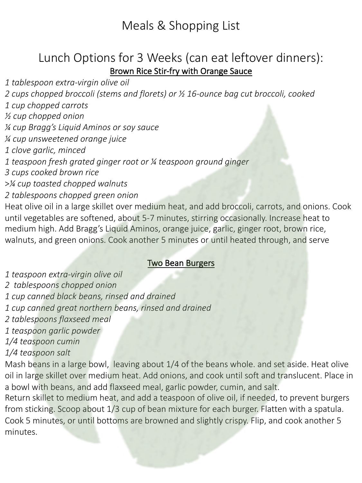### Lunch Options for 3 Weeks (can eat leftover dinners): Brown Rice Stir-fry with Orange Sauce

*1 tablespoon extra-virgin olive oil*

*2 cups chopped broccoli (stems and florets) or ½ 16-ounce bag cut broccoli, cooked*

*1 cup chopped carrots*

*½ cup chopped onion*

*¼ cup Bragg's Liquid Aminos or soy sauce*

*¼ cup unsweetened orange juice*

*1 clove garlic, minced*

*1 teaspoon fresh grated ginger root or ¼ teaspoon ground ginger*

*3 cups cooked brown rice*

>*¼ cup toasted chopped walnuts*

*2 tablespoons chopped green onion*

Heat olive oil in a large skillet over medium heat, and add broccoli, carrots, and onions. Cook until vegetables are softened, about 5-7 minutes, stirring occasionally. Increase heat to medium high. Add Bragg's Liquid Aminos, orange juice, garlic, ginger root, brown rice, walnuts, and green onions. Cook another 5 minutes or until heated through, and serve

#### Two Bean Burgers

*1 teaspoon extra-virgin olive oil*

*2 tablespoons chopped onion*

*1 cup canned black beans, rinsed and drained*

*1 cup canned great northern beans, rinsed and drained*

*2 tablespoons flaxseed meal*

*1 teaspoon garlic powder*

*1/4 teaspoon cumin*

*1/4 teaspoon salt*

Mash beans in a large bowl, leaving about 1/4 of the beans whole. and set aside. Heat olive oil in large skillet over medium heat. Add onions, and cook until soft and translucent. Place in a bowl with beans, and add flaxseed meal, garlic powder, cumin, and salt.

Return skillet to medium heat, and add a teaspoon of olive oil, if needed, to prevent burgers from sticking. Scoop about 1/3 cup of bean mixture for each burger. Flatten with a spatula. Cook 5 minutes, or until bottoms are browned and slightly crispy. Flip, and cook another 5 minutes.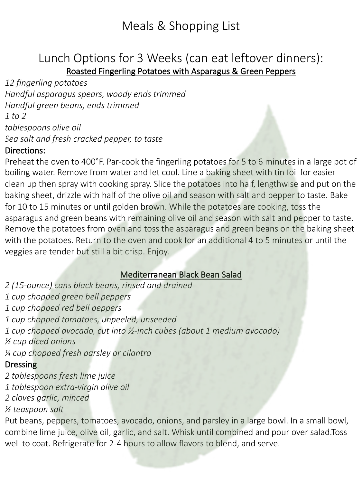### Lunch Options for 3 Weeks (can eat leftover dinners): Roasted Fingerling Potatoes with Asparagus & Green Peppers

#### *12 fingerling potatoes*

*Handful asparagus spears, woody ends trimmed Handful green beans, ends trimmed 1 to 2 tablespoons olive oil Sea salt and fresh cracked pepper, to taste*

#### Directions:

Preheat the oven to 400°F. Par-cook the fingerling potatoes for 5 to 6 minutes in a large pot of boiling water. Remove from water and let cool. Line a baking sheet with tin foil for easier clean up then spray with cooking spray. Slice the potatoes into half, lengthwise and put on the baking sheet, drizzle with half of the olive oil and season with salt and pepper to taste. Bake for 10 to 15 minutes or until golden brown. While the potatoes are cooking, toss the asparagus and green beans with remaining olive oil and season with salt and pepper to taste. Remove the potatoes from oven and toss the asparagus and green beans on the baking sheet with the potatoes. Return to the oven and cook for an additional 4 to 5 minutes or until the veggies are tender but still a bit crisp. Enjoy.

#### Mediterranean Black Bean Salad

- *2 (15-ounce) cans black beans, rinsed and drained*
- *1 cup chopped green bell peppers*
- *1 cup chopped red bell peppers*
- *1 cup chopped tomatoes, unpeeled, unseeded*
- *1 cup chopped avocado, cut into ½-inch cubes (about 1 medium avocado)*

*½ cup diced onions*

*¼ cup chopped fresh parsley or cilantro*

#### **Dressing**

- *2 tablespoons fresh lime juice*
- *1 tablespoon extra-virgin olive oil*
- *2 cloves garlic, minced*
- *½ teaspoon salt*

Put beans, peppers, tomatoes, avocado, onions, and parsley in a large bowl. In a small bowl, combine lime juice, olive oil, garlic, and salt. Whisk until combined and pour over salad.Toss well to coat. Refrigerate for 2-4 hours to allow flavors to blend, and serve.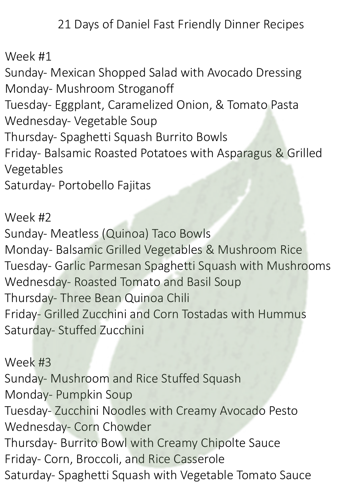Week #1

Sunday- Mexican Shopped Salad with Avocado Dressing Monday- Mushroom Stroganoff Tuesday- Eggplant, Caramelized Onion, & Tomato Pasta Wednesday- Vegetable Soup Thursday- Spaghetti Squash Burrito Bowls Friday- Balsamic Roasted Potatoes with Asparagus & Grilled Vegetables Saturday- Portobello Fajitas

Week #2 Sunday- Meatless (Quinoa) Taco Bowls Monday- Balsamic Grilled Vegetables & Mushroom Rice Tuesday- Garlic Parmesan Spaghetti Squash with Mushrooms Wednesday- Roasted Tomato and Basil Soup Thursday- Three Bean Quinoa Chili Friday- Grilled Zucchini and Corn Tostadas with Hummus Saturday- Stuffed Zucchini

Week #3 Sunday- Mushroom and Rice Stuffed Squash Monday- Pumpkin Soup Tuesday- Zucchini Noodles with Creamy Avocado Pesto Wednesday- Corn Chowder Thursday- Burrito Bowl with Creamy Chipolte Sauce Friday- Corn, Broccoli, and Rice Casserole Saturday- Spaghetti Squash with Vegetable Tomato Sauce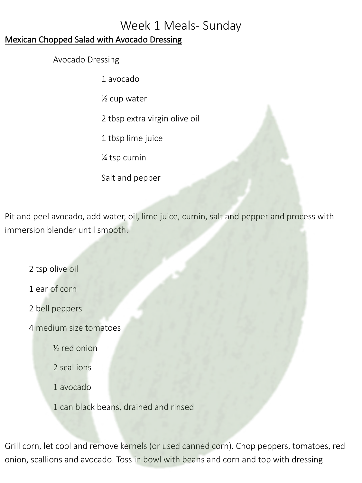### Week 1 Meals- Sunday

#### Mexican Chopped Salad with Avocado Dressing

Avocado Dressing

1 avocado

½ cup water

2 tbsp extra virgin olive oil

1 tbsp lime juice

¼ tsp cumin

Salt and pepper

Pit and peel avocado, add water, oil, lime juice, cumin, salt and pepper and process with immersion blender until smooth.

2 tsp olive oil

1 ear of corn

2 bell peppers

4 medium size tomatoes

½ red onion

2 scallions

1 avocado

1 can black beans, drained and rinsed

Grill corn, let cool and remove kernels (or used canned corn). Chop peppers, tomatoes, red onion, scallions and avocado. Toss in bowl with beans and corn and top with dressing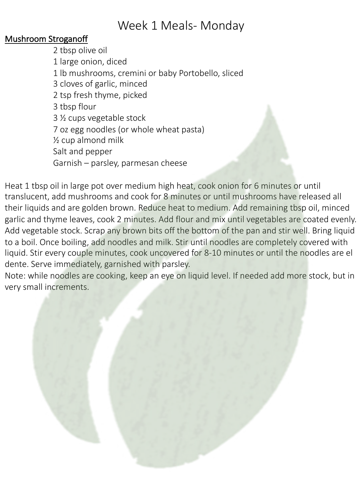# Week 1 Meals- Monday

#### Mushroom Stroganoff

2 tbsp olive oil 1 large onion, diced 1 lb mushrooms, cremini or baby Portobello, sliced 3 cloves of garlic, minced 2 tsp fresh thyme, picked 3 tbsp flour 3 ½ cups vegetable stock 7 oz egg noodles (or whole wheat pasta) ½ cup almond milk Salt and pepper Garnish – parsley, parmesan cheese

Heat 1 tbsp oil in large pot over medium high heat, cook onion for 6 minutes or until translucent, add mushrooms and cook for 8 minutes or until mushrooms have released all their liquids and are golden brown. Reduce heat to medium. Add remaining tbsp oil, minced garlic and thyme leaves, cook 2 minutes. Add flour and mix until vegetables are coated evenly. Add vegetable stock. Scrap any brown bits off the bottom of the pan and stir well. Bring liquid to a boil. Once boiling, add noodles and milk. Stir until noodles are completely covered with liquid. Stir every couple minutes, cook uncovered for 8-10 minutes or until the noodles are el dente. Serve immediately, garnished with parsley.

Note: while noodles are cooking, keep an eye on liquid level. If needed add more stock, but in very small increments.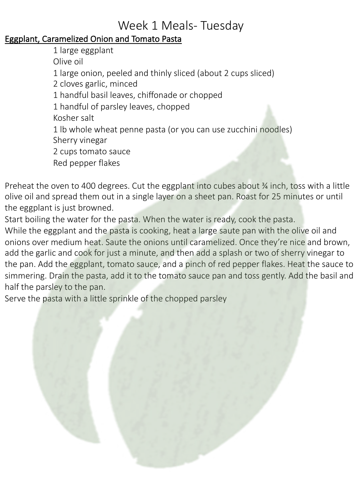# Week 1 Meals- Tuesday

#### Eggplant, Caramelized Onion and Tomato Pasta

1 large eggplant Olive oil 1 large onion, peeled and thinly sliced (about 2 cups sliced) 2 cloves garlic, minced 1 handful basil leaves, chiffonade or chopped 1 handful of parsley leaves, chopped Kosher salt 1 lb whole wheat penne pasta (or you can use zucchini noodles) Sherry vinegar 2 cups tomato sauce Red pepper flakes

Preheat the oven to 400 degrees. Cut the eggplant into cubes about ¾ inch, toss with a little olive oil and spread them out in a single layer on a sheet pan. Roast for 25 minutes or until the eggplant is just browned.

Start boiling the water for the pasta. When the water is ready, cook the pasta. While the eggplant and the pasta is cooking, heat a large saute pan with the olive oil and onions over medium heat. Saute the onions until caramelized. Once they're nice and brown, add the garlic and cook for just a minute, and then add a splash or two of sherry vinegar to the pan. Add the eggplant, tomato sauce, and a pinch of red pepper flakes. Heat the sauce to simmering. Drain the pasta, add it to the tomato sauce pan and toss gently. Add the basil and half the parsley to the pan.

Serve the pasta with a little sprinkle of the chopped parsley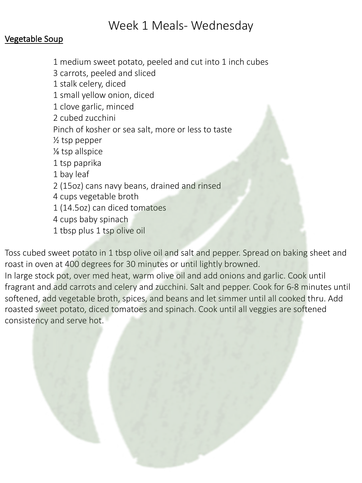# Week 1 Meals- Wednesday

#### Vegetable Soup

1 medium sweet potato, peeled and cut into 1 inch cubes 3 carrots, peeled and sliced 1 stalk celery, diced 1 small yellow onion, diced 1 clove garlic, minced 2 cubed zucchini Pinch of kosher or sea salt, more or less to taste ½ tsp pepper ⅛ tsp allspice 1 tsp paprika 1 bay leaf 2 (15oz) cans navy beans, drained and rinsed 4 cups vegetable broth 1 (14.5oz) can diced tomatoes 4 cups baby spinach 1 tbsp plus 1 tsp olive oil

Toss cubed sweet potato in 1 tbsp olive oil and salt and pepper. Spread on baking sheet and roast in oven at 400 degrees for 30 minutes or until lightly browned. In large stock pot, over med heat, warm olive oil and add onions and garlic. Cook until

fragrant and add carrots and celery and zucchini. Salt and pepper. Cook for 6-8 minutes until softened, add vegetable broth, spices, and beans and let simmer until all cooked thru. Add roasted sweet potato, diced tomatoes and spinach. Cook until all veggies are softened consistency and serve hot.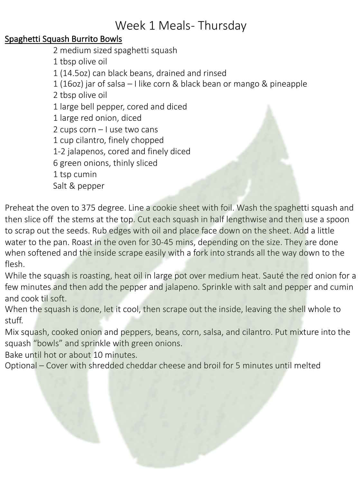# Week 1 Meals- Thursday

#### Spaghetti Squash Burrito Bowls

2 medium sized spaghetti squash 1 tbsp olive oil 1 (14.5oz) can black beans, drained and rinsed 1 (16oz) jar of salsa – I like corn & black bean or mango & pineapple 2 tbsp olive oil 1 large bell pepper, cored and diced 1 large red onion, diced 2 cups corn – I use two cans 1 cup cilantro, finely chopped 1-2 jalapenos, cored and finely diced 6 green onions, thinly sliced 1 tsp cumin Salt & pepper

Preheat the oven to 375 degree. Line a cookie sheet with foil. Wash the spaghetti squash and then slice off the stems at the top. Cut each squash in half lengthwise and then use a spoon to scrap out the seeds. Rub edges with oil and place face down on the sheet. Add a little water to the pan. Roast in the oven for 30-45 mins, depending on the size. They are done when softened and the inside scrape easily with a fork into strands all the way down to the flesh.

While the squash is roasting, heat oil in large pot over medium heat. Sauté the red onion for a few minutes and then add the pepper and jalapeno. Sprinkle with salt and pepper and cumin and cook til soft.

When the squash is done, let it cool, then scrape out the inside, leaving the shell whole to stuff.

Mix squash, cooked onion and peppers, beans, corn, salsa, and cilantro. Put mixture into the squash "bowls" and sprinkle with green onions.

Bake until hot or about 10 minutes.

Optional – Cover with shredded cheddar cheese and broil for 5 minutes until melted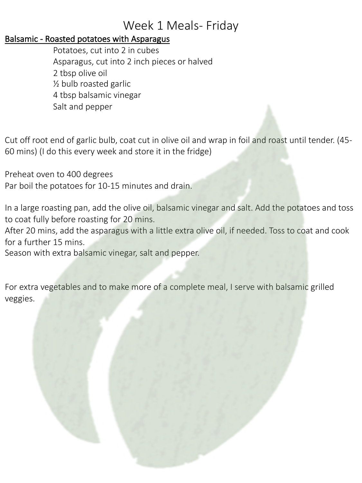### Week 1 Meals- Friday

#### Balsamic - Roasted potatoes with Asparagus

Potatoes, cut into 2 in cubes Asparagus, cut into 2 inch pieces or halved 2 tbsp olive oil ½ bulb roasted garlic 4 tbsp balsamic vinegar Salt and pepper

Cut off root end of garlic bulb, coat cut in olive oil and wrap in foil and roast until tender. (45- 60 mins) (I do this every week and store it in the fridge)

Preheat oven to 400 degrees

Par boil the potatoes for 10-15 minutes and drain.

In a large roasting pan, add the olive oil, balsamic vinegar and salt. Add the potatoes and toss to coat fully before roasting for 20 mins.

After 20 mins, add the asparagus with a little extra olive oil, if needed. Toss to coat and cook for a further 15 mins.

Season with extra balsamic vinegar, salt and pepper.

For extra vegetables and to make more of a complete meal, I serve with balsamic grilled veggies.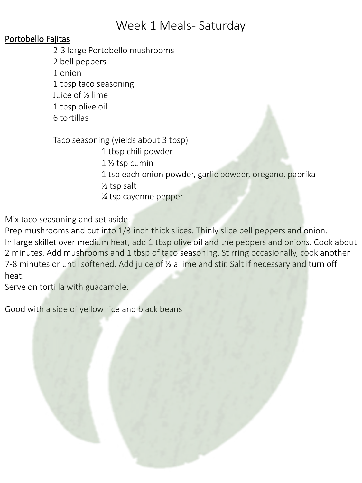# Week 1 Meals- Saturday

#### Portobello Fajitas

2-3 large Portobello mushrooms 2 bell peppers 1 onion 1 tbsp taco seasoning Juice of ½ lime 1 tbsp olive oil 6 tortillas

Taco seasoning (yields about 3 tbsp)

1 tbsp chili powder 1 ½ tsp cumin 1 tsp each onion powder, garlic powder, oregano, paprika ½ tsp salt ¼ tsp cayenne pepper

Mix taco seasoning and set aside.

Prep mushrooms and cut into 1/3 inch thick slices. Thinly slice bell peppers and onion. In large skillet over medium heat, add 1 tbsp olive oil and the peppers and onions. Cook about 2 minutes. Add mushrooms and 1 tbsp of taco seasoning. Stirring occasionally, cook another 7-8 minutes or until softened. Add juice of ½ a lime and stir. Salt if necessary and turn off heat.

Serve on tortilla with guacamole.

Good with a side of yellow rice and black beans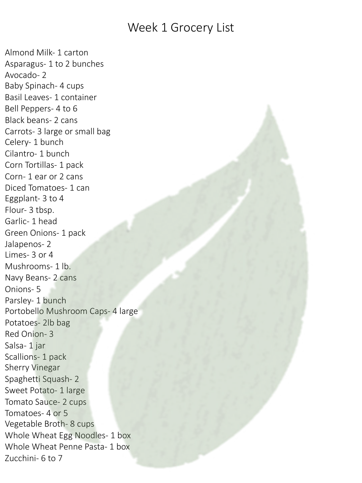### Week 1 Grocery List

Almond Milk- 1 carton Asparagus- 1 to 2 bunches Avocado- 2 Baby Spinach- 4 cups Basil Leaves- 1 container Bell Peppers- 4 to 6 Black beans- 2 cans Carrots- 3 large or small bag Celery- 1 bunch Cilantro- 1 bunch Corn Tortillas- 1 pack Corn- 1 ear or 2 cans Diced Tomatoes- 1 can Eggplant- 3 to 4 Flour- 3 tbsp. Garlic- 1 head Green Onions- 1 pack Jalapenos- 2 Limes- 3 or 4 Mushrooms- 1 lb. Navy Beans- 2 cans Onions- 5 Parsley- 1 bunch Portobello Mushroom Caps- 4 large Potatoes- 2lb bag Red Onion- 3 Salsa- 1 jar Scallions- 1 pack Sherry Vinegar Spaghetti Squash- 2 Sweet Potato- 1 large Tomato Sauce- 2 cups Tomatoes- 4 or 5 Vegetable Broth- 8 cups Whole Wheat Egg Noodles- 1 box Whole Wheat Penne Pasta- 1 box Zucchini- 6 to 7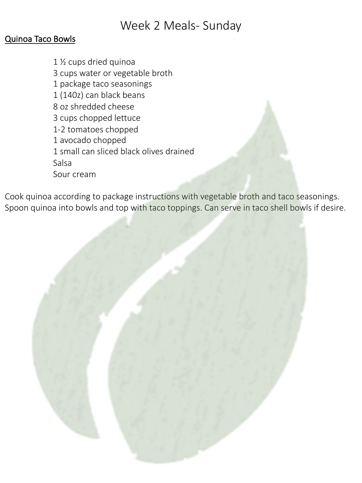# Week 2 Meals- Sunday

#### Quinoa Taco Bowls

1 ½ cups dried quinoa 3 cups water or vegetable broth 1 package taco seasonings 1 (140z) can black beans 8 oz shredded cheese 3 cups chopped lettuce 1-2 tomatoes chopped 1 avocado chopped 1 small can sliced black olives drained Salsa Sour cream

Cook quinoa according to package instructions with vegetable broth and taco seasonings. Spoon quinoa into bowls and top with taco toppings. Can serve in taco shell bowls if desire.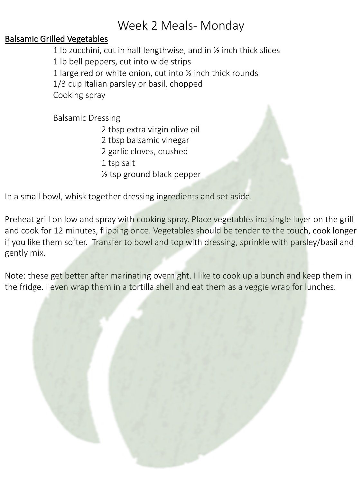# Week 2 Meals- Monday

#### Balsamic Grilled Vegetables

1 lb zucchini, cut in half lengthwise, and in ½ inch thick slices 1 lb bell peppers, cut into wide strips 1 large red or white onion, cut into ½ inch thick rounds 1/3 cup Italian parsley or basil, chopped Cooking spray

Balsamic Dressing

- 2 tbsp extra virgin olive oil 2 tbsp balsamic vinegar
- 2 garlic cloves, crushed
- 1 tsp salt
- ½ tsp ground black pepper

In a small bowl, whisk together dressing ingredients and set aside.

Preheat grill on low and spray with cooking spray. Place vegetables ina single layer on the grill and cook for 12 minutes, flipping once. Vegetables should be tender to the touch, cook longer if you like them softer. Transfer to bowl and top with dressing, sprinkle with parsley/basil and gently mix.

Note: these get better after marinating overnight. I like to cook up a bunch and keep them in the fridge. I even wrap them in a tortilla shell and eat them as a veggie wrap for lunches.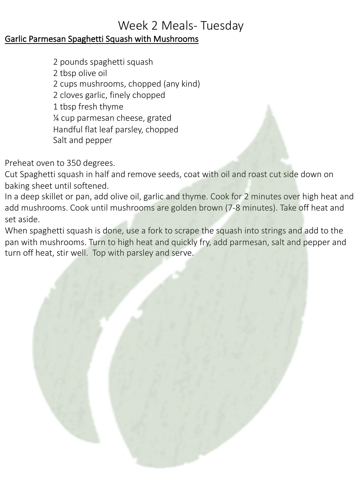### Week 2 Meals- Tuesday

#### Garlic Parmesan Spaghetti Squash with Mushrooms

2 pounds spaghetti squash 2 tbsp olive oil 2 cups mushrooms, chopped (any kind) 2 cloves garlic, finely chopped 1 tbsp fresh thyme ¼ cup parmesan cheese, grated Handful flat leaf parsley, chopped Salt and pepper

Preheat oven to 350 degrees.

Cut Spaghetti squash in half and remove seeds, coat with oil and roast cut side down on baking sheet until softened.

In a deep skillet or pan, add olive oil, garlic and thyme. Cook for 2 minutes over high heat and add mushrooms. Cook until mushrooms are golden brown (7-8 minutes). Take off heat and set aside.

When spaghetti squash is done, use a fork to scrape the squash into strings and add to the pan with mushrooms. Turn to high heat and quickly fry, add parmesan, salt and pepper and turn off heat, stir well. Top with parsley and serve.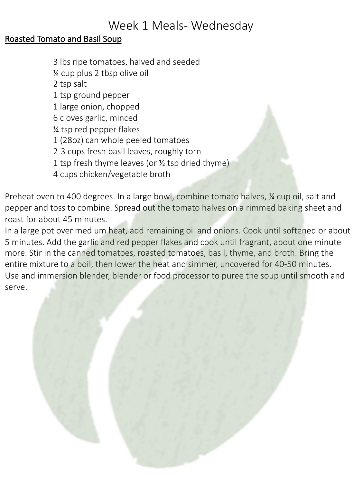# Week 1 Meals- Wednesday

#### Roasted Tomato and Basil Soup

3 lbs ripe tomatoes, halved and seeded ¼ cup plus 2 tbsp olive oil 2 tsp salt 1 tsp ground pepper 1 large onion, chopped 6 cloves garlic, minced ¼ tsp red pepper flakes 1 (28oz) can whole peeled tomatoes 2-3 cups fresh basil leaves, roughly torn 1 tsp fresh thyme leaves (or ½ tsp dried thyme) 4 cups chicken/vegetable broth

Preheat oven to 400 degrees. In a large bowl, combine tomato halves, % cup oil, salt and pepper and toss to combine. Spread out the tomato halves on a rimmed baking sheet and roast for about 45 minutes.

In a large pot over medium heat, add remaining oil and onions. Cook until softened or about 5 minutes. Add the garlic and red pepper flakes and cook until fragrant, about one minute more. Stir in the canned tomatoes, roasted tomatoes, basil, thyme, and broth. Bring the entire mixture to a boil, then lower the heat and simmer, uncovered for 40-50 minutes. Use and immersion blender, blender or food processor to puree the soup until smooth and serve.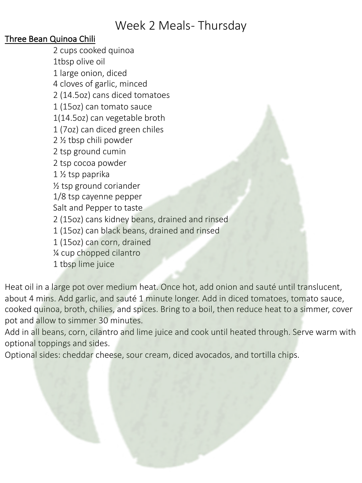# Week 2 Meals- Thursday

#### Three Bean Quinoa Chili

2 cups cooked quinoa

- 1tbsp olive oil
- 1 large onion, diced
- 4 cloves of garlic, minced
- 2 (14.5oz) cans diced tomatoes
- 1 (15oz) can tomato sauce
- 1(14.5oz) can vegetable broth
- 1 (7oz) can diced green chiles
- 2 ½ tbsp chili powder
- 2 tsp ground cumin
- 2 tsp cocoa powder
- 1 ½ tsp paprika
- ½ tsp ground coriander
- 1/8 tsp cayenne pepper
- Salt and Pepper to taste
- 2 (15oz) cans kidney beans, drained and rinsed
- 1 (15oz) can black beans, drained and rinsed
- 1 (15oz) can corn, drained
- ¼ cup chopped cilantro
- 1 tbsp lime juice

Heat oil in a large pot over medium heat. Once hot, add onion and sauté until translucent, about 4 mins. Add garlic, and sauté 1 minute longer. Add in diced tomatoes, tomato sauce, cooked quinoa, broth, chilies, and spices. Bring to a boil, then reduce heat to a simmer, cover pot and allow to simmer 30 minutes.

Add in all beans, corn, cilantro and lime juice and cook until heated through. Serve warm with optional toppings and sides.

Optional sides: cheddar cheese, sour cream, diced avocados, and tortilla chips.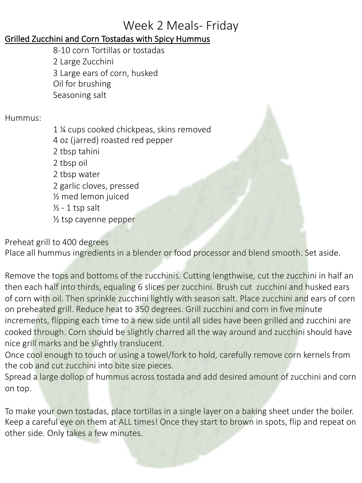### Week 2 Meals- Friday

#### Grilled Zucchini and Corn Tostadas with Spicy Hummus

8-10 corn Tortillas or tostadas 2 Large Zucchini 3 Large ears of corn, husked Oil for brushing Seasoning salt

Hummus:

1 ¼ cups cooked chickpeas, skins removed 4 oz (jarred) roasted red pepper 2 tbsp tahini 2 tbsp oil 2 tbsp water 2 garlic cloves, pressed ½ med lemon juiced  $\frac{1}{2}$  - 1 tsp salt ½ tsp cayenne pepper

Preheat grill to 400 degrees

Place all hummus ingredients in a blender or food processor and blend smooth. Set aside.

Remove the tops and bottoms of the zucchinis. Cutting lengthwise, cut the zucchini in half an then each half into thirds, equaling 6 slices per zucchini. Brush cut zucchini and husked ears of corn with oil. Then sprinkle zucchini lightly with season salt. Place zucchini and ears of corn on preheated grill. Reduce heat to 350 degrees. Grill zucchini and corn in five minute increments, flipping each time to a new side until all sides have been grilled and zucchini are cooked through. Corn should be slightly charred all the way around and zucchini should have nice grill marks and be slightly translucent.

Once cool enough to touch or using a towel/fork to hold, carefully remove corn kernels from the cob and cut zucchini into bite size pieces.

Spread a large dollop of hummus across tostada and add desired amount of zucchini and corn on top.

To make your own tostadas, place tortillas in a single layer on a baking sheet under the boiler. Keep a careful eye on them at ALL times! Once they start to brown in spots, flip and repeat on other side. Only takes a few minutes.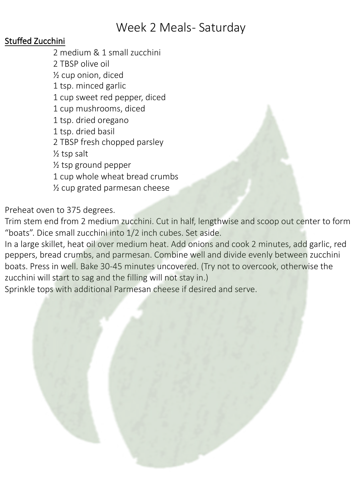# Week 2 Meals- Saturday

#### Stuffed Zucchini

2 medium & 1 small zucchini 2 TBSP olive oil ½ cup onion, diced 1 tsp. minced garlic 1 cup sweet red pepper, diced 1 cup mushrooms, diced 1 tsp. dried oregano 1 tsp. dried basil 2 TBSP fresh chopped parsley  $\frac{1}{2}$  tsp salt ½ tsp ground pepper 1 cup whole wheat bread crumbs ½ cup grated parmesan cheese

Preheat oven to 375 degrees.

Trim stem end from 2 medium zucchini. Cut in half, lengthwise and scoop out center to form "boats". Dice small zucchini into 1/2 inch cubes. Set aside.

In a large skillet, heat oil over medium heat. Add onions and cook 2 minutes, add garlic, red peppers, bread crumbs, and parmesan. Combine well and divide evenly between zucchini boats. Press in well. Bake 30-45 minutes uncovered. (Try not to overcook, otherwise the zucchini will start to sag and the filling will not stay in.)

Sprinkle tops with additional Parmesan cheese if desired and serve.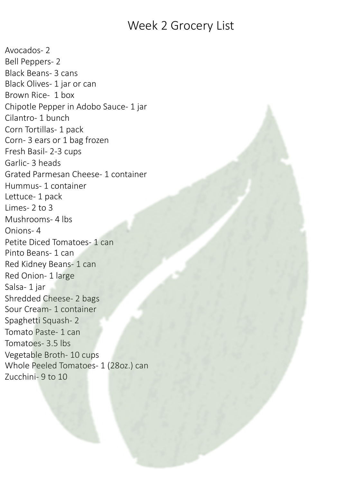### Week 2 Grocery List

Avocados- 2 Bell Peppers- 2 Black Beans- 3 cans Black Olives- 1 jar or can Brown Rice- 1 box Chipotle Pepper in Adobo Sauce- 1 jar Cilantro- 1 bunch Corn Tortillas- 1 pack Corn- 3 ears or 1 bag frozen Fresh Basil- 2-3 cups Garlic- 3 heads Grated Parmesan Cheese- 1 container Hummus- 1 container Lettuce- 1 pack Limes- 2 to 3 Mushrooms- 4 lbs Onions- 4 Petite Diced Tomatoes- 1 can Pinto Beans- 1 can Red Kidney Beans- 1 can Red Onion- 1 large Salsa- 1 jar Shredded Cheese- 2 bags Sour Cream- 1 container Spaghetti Squash- 2 Tomato Paste- 1 can Tomatoes- 3.5 lbs Vegetable Broth- 10 cups Whole Peeled Tomatoes- 1 (28oz.) can Zucchini- 9 to 10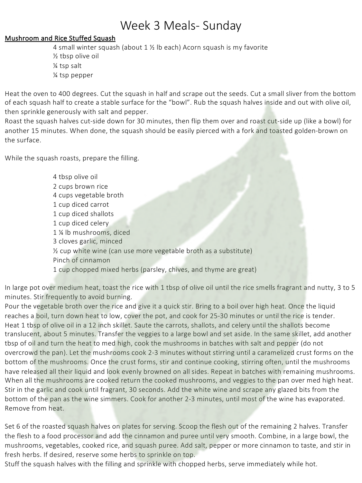# Week 3 Meals- Sunday

#### Mushroom and Rice Stuffed Squash

4 small winter squash (about 1 ½ lb each) Acorn squash is my favorite ½ tbsp olive oil ¼ tsp salt ¼ tsp pepper

Heat the oven to 400 degrees. Cut the squash in half and scrape out the seeds. Cut a small sliver from the bottom of each squash half to create a stable surface for the "bowl". Rub the squash halves inside and out with olive oil, then sprinkle generously with salt and pepper.

Roast the squash halves cut-side down for 30 minutes, then flip them over and roast cut-side up (like a bowl) for another 15 minutes. When done, the squash should be easily pierced with a fork and toasted golden-brown on the surface.

While the squash roasts, prepare the filling.

4 tbsp olive oil 2 cups brown rice 4 cups vegetable broth 1 cup diced carrot 1 cup diced shallots 1 cup diced celery 1 ¼ lb mushrooms, diced 3 cloves garlic, minced ½ cup white wine (can use more vegetable broth as a substitute) Pinch of cinnamon 1 cup chopped mixed herbs (parsley, chives, and thyme are great)

In large pot over medium heat, toast the rice with 1 tbsp of olive oil until the rice smells fragrant and nutty, 3 to 5 minutes. Stir frequently to avoid burning.

Pour the vegetable broth over the rice and give it a quick stir. Bring to a boil over high heat. Once the liquid reaches a boil, turn down heat to low, cover the pot, and cook for 25-30 minutes or until the rice is tender. Heat 1 tbsp of olive oil in a 12 inch skillet. Saute the carrots, shallots, and celery until the shallots become translucent, about 5 minutes. Transfer the veggies to a large bowl and set aside. In the same skillet, add another tbsp of oil and turn the heat to med high, cook the mushrooms in batches with salt and pepper (do not overcrowd the pan). Let the mushrooms cook 2-3 minutes without stirring until a caramelized crust forms on the bottom of the mushrooms. Once the crust forms, stir and continue cooking, stirring often, until the mushrooms have released all their liquid and look evenly browned on all sides. Repeat in batches with remaining mushrooms. When all the mushrooms are cooked return the cooked mushrooms, and veggies to the pan over med high heat. Stir in the garlic and cook until fragrant, 30 seconds. Add the white wine and scrape any glazed bits from the bottom of the pan as the wine simmers. Cook for another 2-3 minutes, until most of the wine has evaporated. Remove from heat.

Set 6 of the roasted squash halves on plates for serving. Scoop the flesh out of the remaining 2 halves. Transfer the flesh to a food processor and add the cinnamon and puree until very smooth. Combine, in a large bowl, the mushrooms, vegetables, cooked rice, and squash puree. Add salt, pepper or more cinnamon to taste, and stir in fresh herbs. If desired, reserve some herbs to sprinkle on top.

Stuff the squash halves with the filling and sprinkle with chopped herbs, serve immediately while hot.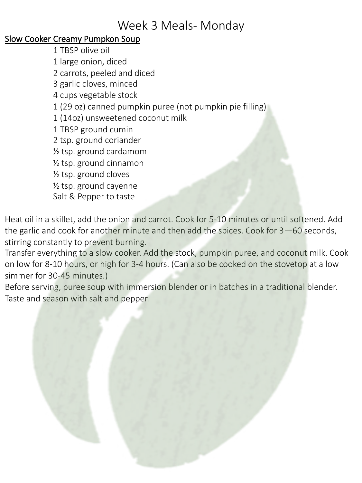### Week 3 Meals- Monday

#### Slow Cooker Creamy Pumpkon Soup

1 TBSP olive oil 1 large onion, diced 2 carrots, peeled and diced 3 garlic cloves, minced 4 cups vegetable stock 1 (29 oz) canned pumpkin puree (not pumpkin pie filling) 1 (14oz) unsweetened coconut milk 1 TBSP ground cumin 2 tsp. ground coriander ½ tsp. ground cardamom ½ tsp. ground cinnamon ½ tsp. ground cloves ½ tsp. ground cayenne Salt & Pepper to taste

Heat oil in a skillet, add the onion and carrot. Cook for 5-10 minutes or until softened. Add the garlic and cook for another minute and then add the spices. Cook for 3—60 seconds, stirring constantly to prevent burning.

Transfer everything to a slow cooker. Add the stock, pumpkin puree, and coconut milk. Cook on low for 8-10 hours, or high for 3-4 hours. (Can also be cooked on the stovetop at a low simmer for 30-45 minutes.)

Before serving, puree soup with immersion blender or in batches in a traditional blender. Taste and season with salt and pepper.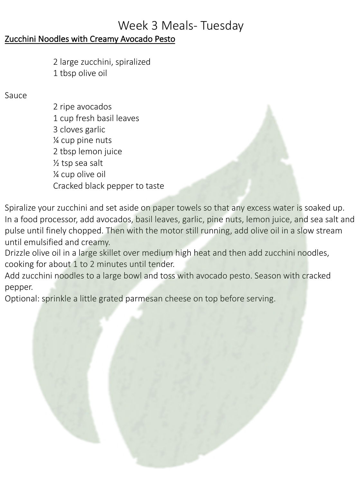### Week 3 Meals- Tuesday

#### Zucchini Noodles with Creamy Avocado Pesto

2 large zucchini, spiralized 1 tbsp olive oil

Sauce

2 ripe avocados 1 cup fresh basil leaves 3 cloves garlic ¼ cup pine nuts 2 tbsp lemon juice ½ tsp sea salt ¼ cup olive oil Cracked black pepper to taste

Spiralize your zucchini and set aside on paper towels so that any excess water is soaked up. In a food processor, add avocados, basil leaves, garlic, pine nuts, lemon juice, and sea salt and pulse until finely chopped. Then with the motor still running, add olive oil in a slow stream until emulsified and creamy.

Drizzle olive oil in a large skillet over medium high heat and then add zucchini noodles, cooking for about 1 to 2 minutes until tender.

Add zucchini noodles to a large bowl and toss with avocado pesto. Season with cracked pepper.

Optional: sprinkle a little grated parmesan cheese on top before serving.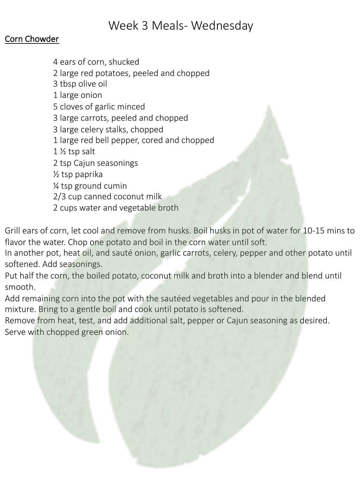# Week 3 Meals- Wednesday

#### Corn Chowder

4 ears of corn, shucked

2 large red potatoes, peeled and chopped

3 tbsp olive oil

1 large onion

5 cloves of garlic minced

3 large carrots, peeled and chopped

3 large celery stalks, chopped

1 large red bell pepper, cored and chopped

 $1\frac{1}{2}$  tsp salt

2 tsp Cajun seasonings

½ tsp paprika

¼ tsp ground cumin

2/3 cup canned coconut milk

2 cups water and vegetable broth

Grill ears of corn, let cool and remove from husks. Boil husks in pot of water for 10-15 mins to flavor the water. Chop one potato and boil in the corn water until soft.

In another pot, heat oil, and sauté onion, garlic carrots, celery, pepper and other potato until softened. Add seasonings.

Put half the corn, the boiled potato, coconut milk and broth into a blender and blend until smooth.

Add remaining corn into the pot with the sautéed vegetables and pour in the blended mixture. Bring to a gentle boil and cook until potato is softened.

Remove from heat, test, and add additional salt, pepper or Cajun seasoning as desired. Serve with chopped green onion.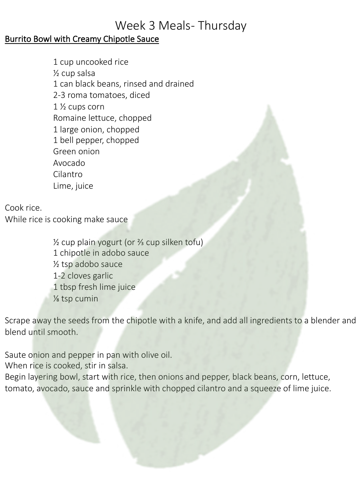### Week 3 Meals- Thursday

#### Burrito Bowl with Creamy Chipotle Sauce

1 cup uncooked rice ½ cup salsa 1 can black beans, rinsed and drained 2-3 roma tomatoes, diced 1 ½ cups corn Romaine lettuce, chopped 1 large onion, chopped 1 bell pepper, chopped Green onion Avocado Cilantro Lime, juice

Cook rice. While rice is cooking make sauce

> ½ cup plain yogurt (or ⅔ cup silken tofu) 1 chipotle in adobo sauce ½ tsp adobo sauce 1-2 cloves garlic 1 tbsp fresh lime juice ⅛ tsp cumin

Scrape away the seeds from the chipotle with a knife, and add all ingredients to a blender and blend until smooth.

Saute onion and pepper in pan with olive oil.

When rice is cooked, stir in salsa.

Begin layering bowl, start with rice, then onions and pepper, black beans, corn, lettuce, tomato, avocado, sauce and sprinkle with chopped cilantro and a squeeze of lime juice.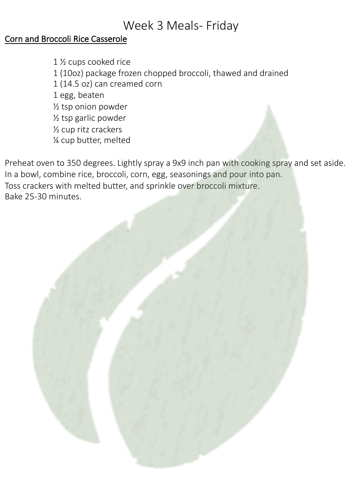### Week 3 Meals- Friday

#### Corn and Broccoli Rice Casserole

1 ½ cups cooked rice 1 (10oz) package frozen chopped broccoli, thawed and drained 1 (14.5 oz) can creamed corn 1 egg, beaten ½ tsp onion powder ½ tsp garlic powder ½ cup ritz crackers ¼ cup butter, melted

Preheat oven to 350 degrees. Lightly spray a 9x9 inch pan with cooking spray and set aside. In a bowl, combine rice, broccoli, corn, egg, seasonings and pour into pan. Toss crackers with melted butter, and sprinkle over broccoli mixture. Bake 25-30 minutes.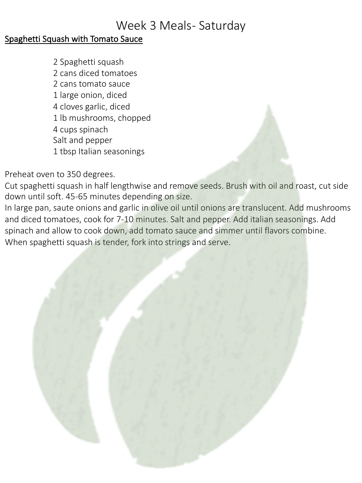# Week 3 Meals- Saturday

#### Spaghetti Squash with Tomato Sauce

2 Spaghetti squash 2 cans diced tomatoes 2 cans tomato sauce 1 large onion, diced 4 cloves garlic, diced 1 lb mushrooms, chopped 4 cups spinach Salt and pepper 1 tbsp Italian seasonings

Preheat oven to 350 degrees.

Cut spaghetti squash in half lengthwise and remove seeds. Brush with oil and roast, cut side down until soft. 45-65 minutes depending on size.

In large pan, saute onions and garlic in olive oil until onions are translucent. Add mushrooms and diced tomatoes, cook for 7-10 minutes. Salt and pepper. Add italian seasonings. Add spinach and allow to cook down, add tomato sauce and simmer until flavors combine. When spaghetti squash is tender, fork into strings and serve.